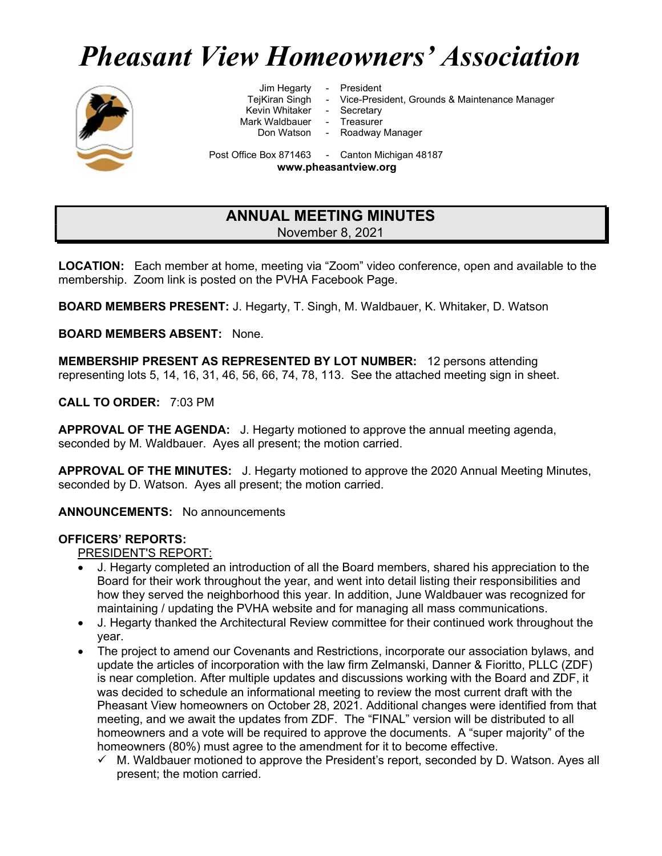# Pheasant View Homeowners' Association



Jim Hegarty - President<br>TejKiran Singh - Vice-Presi

- Kevin Whitaker Secretary
- Mark Waldbauer Treasurer<br>Don Watson Roadway
	-

- Vice-President, Grounds & Maintenance Manager
- 
- 
- Roadway Manager

Post Office Box 871463 - Canton Michigan 48187

www.pheasantview.org

## ANNUAL MEETING MINUTES November 8, 2021

LOCATION: Each member at home, meeting via "Zoom" video conference, open and available to the membership. Zoom link is posted on the PVHA Facebook Page.

BOARD MEMBERS PRESENT: J. Hegarty, T. Singh, M. Waldbauer, K. Whitaker, D. Watson

BOARD MEMBERS ABSENT: None.

MEMBERSHIP PRESENT AS REPRESENTED BY LOT NUMBER: 12 persons attending representing lots 5, 14, 16, 31, 46, 56, 66, 74, 78, 113. See the attached meeting sign in sheet.

CALL TO ORDER: 7:03 PM

APPROVAL OF THE AGENDA: J. Hegarty motioned to approve the annual meeting agenda, seconded by M. Waldbauer. Ayes all present; the motion carried.

APPROVAL OF THE MINUTES: J. Hegarty motioned to approve the 2020 Annual Meeting Minutes, seconded by D. Watson. Ayes all present; the motion carried.

ANNOUNCEMENTS: No announcements

## OFFICERS' REPORTS:

PRESIDENT'S REPORT:

- J. Hegarty completed an introduction of all the Board members, shared his appreciation to the Board for their work throughout the year, and went into detail listing their responsibilities and how they served the neighborhood this year. In addition, June Waldbauer was recognized for maintaining / updating the PVHA website and for managing all mass communications.
- J. Hegarty thanked the Architectural Review committee for their continued work throughout the year.
- The project to amend our Covenants and Restrictions, incorporate our association bylaws, and update the articles of incorporation with the law firm Zelmanski, Danner & Fioritto, PLLC (ZDF) is near completion. After multiple updates and discussions working with the Board and ZDF, it was decided to schedule an informational meeting to review the most current draft with the Pheasant View homeowners on October 28, 2021. Additional changes were identified from that meeting, and we await the updates from ZDF. The "FINAL" version will be distributed to all homeowners and a vote will be required to approve the documents. A "super majority" of the homeowners (80%) must agree to the amendment for it to become effective.
	- $\checkmark$  M. Waldbauer motioned to approve the President's report, seconded by D. Watson. Ayes all present; the motion carried.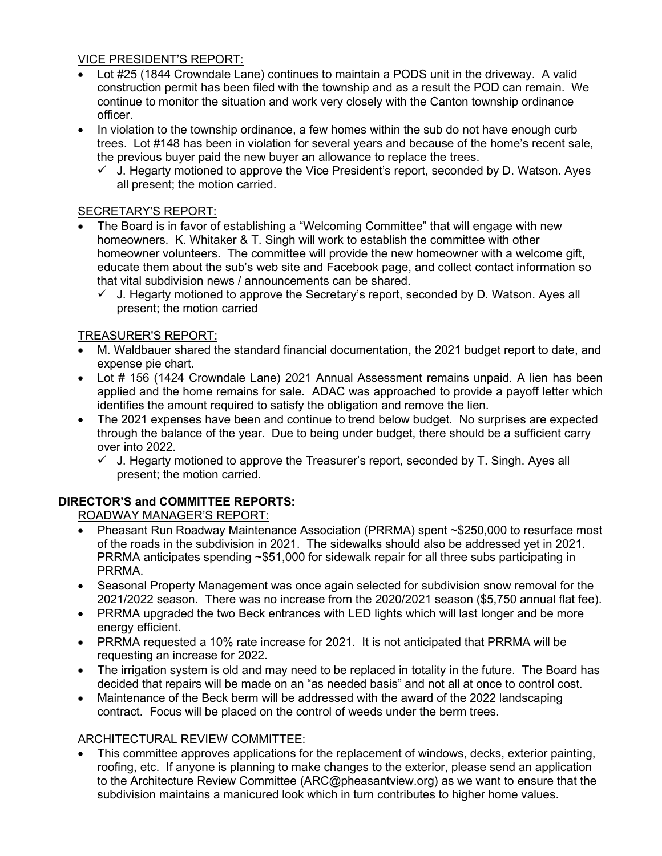## VICE PRESIDENT'S REPORT:

- Lot #25 (1844 Crowndale Lane) continues to maintain a PODS unit in the driveway. A valid construction permit has been filed with the township and as a result the POD can remain. We continue to monitor the situation and work very closely with the Canton township ordinance officer.
- In violation to the township ordinance, a few homes within the sub do not have enough curb trees. Lot #148 has been in violation for several years and because of the home's recent sale, the previous buyer paid the new buyer an allowance to replace the trees.
	- $\checkmark$  J. Hegarty motioned to approve the Vice President's report, seconded by D. Watson. Ayes all present; the motion carried.

## SECRETARY'S REPORT:

- The Board is in favor of establishing a "Welcoming Committee" that will engage with new homeowners. K. Whitaker & T. Singh will work to establish the committee with other homeowner volunteers. The committee will provide the new homeowner with a welcome gift, educate them about the sub's web site and Facebook page, and collect contact information so that vital subdivision news / announcements can be shared.
	- J. Hegarty motioned to approve the Secretary's report, seconded by D. Watson. Ayes all present; the motion carried

## TREASURER'S REPORT:

- M. Waldbauer shared the standard financial documentation, the 2021 budget report to date, and expense pie chart.
- Lot # 156 (1424 Crowndale Lane) 2021 Annual Assessment remains unpaid. A lien has been applied and the home remains for sale. ADAC was approached to provide a payoff letter which identifies the amount required to satisfy the obligation and remove the lien.
- The 2021 expenses have been and continue to trend below budget. No surprises are expected through the balance of the year. Due to being under budget, there should be a sufficient carry over into 2022.
	- $\checkmark$  J. Hegarty motioned to approve the Treasurer's report, seconded by T. Singh. Ayes all present; the motion carried.

## DIRECTOR'S and COMMITTEE REPORTS:

ROADWAY MANAGER'S REPORT:

- Pheasant Run Roadway Maintenance Association (PRRMA) spent ~\$250,000 to resurface most of the roads in the subdivision in 2021. The sidewalks should also be addressed yet in 2021. PRRMA anticipates spending ~\$51,000 for sidewalk repair for all three subs participating in PRRMA.
- Seasonal Property Management was once again selected for subdivision snow removal for the 2021/2022 season. There was no increase from the 2020/2021 season (\$5,750 annual flat fee).
- PRRMA upgraded the two Beck entrances with LED lights which will last longer and be more energy efficient.
- PRRMA requested a 10% rate increase for 2021. It is not anticipated that PRRMA will be requesting an increase for 2022.
- The irrigation system is old and may need to be replaced in totality in the future. The Board has decided that repairs will be made on an "as needed basis" and not all at once to control cost.
- Maintenance of the Beck berm will be addressed with the award of the 2022 landscaping contract. Focus will be placed on the control of weeds under the berm trees.

## ARCHITECTURAL REVIEW COMMITTEE:

 This committee approves applications for the replacement of windows, decks, exterior painting, roofing, etc. If anyone is planning to make changes to the exterior, please send an application to the Architecture Review Committee (ARC@pheasantview.org) as we want to ensure that the subdivision maintains a manicured look which in turn contributes to higher home values.